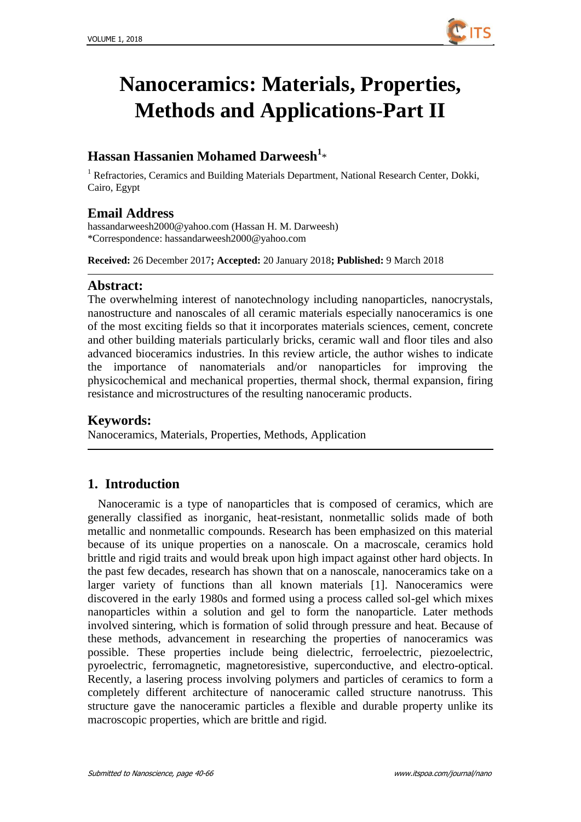

# **Nanoceramics: Materials, Properties, Methods and Applications-Part II**

# **Hassan Hassanien Mohamed Darweesh<sup>1</sup>** \*

<sup>1</sup> Refractories, Ceramics and Building Materials Department, National Research Center, Dokki, Cairo, Egypt

## **Email Address**

[hassandarweesh2000@yahoo.com](mailto:hassandarweesh2000@yahoo.com) (Hassan H. M. Darweesh) \*Correspondence: [hassandarweesh2000@yahoo.com](file:///E:/文章/文章/ITS确认稿/ITS%2020180105确认稿/NANO1009%20需联系作者/hassandarweesh2000@yahoo.com)

**Received:** 26 December 2017**; Accepted:** 20 January 2018**; Published:** 9 March 2018

## **Abstract:**

The overwhelming interest of nanotechnology including nanoparticles, nanocrystals, nanostructure and nanoscales of all ceramic materials especially nanoceramics is one of the most exciting fields so that it incorporates materials sciences, cement, concrete and other building materials particularly bricks, ceramic wall and floor tiles and also advanced bioceramics industries. In this review article, the author wishes to indicate the importance of nanomaterials and/or nanoparticles for improving the physicochemical and mechanical properties, thermal shock, thermal expansion, firing resistance and microstructures of the resulting nanoceramic products.

## **Keywords:**

Nanoceramics, Materials, Properties, Methods, Application

## **1. Introduction**

Nanoceramic is a type of nanoparticles that is composed of ceramics, which are generally classified as inorganic, heat-resistant, nonmetallic solids made of both metallic and nonmetallic compounds. Research has been emphasized on this material because of its unique properties on a nanoscale. On a macroscale, ceramics hold brittle and rigid traits and would break upon high impact against other hard objects. In the past few decades, research has shown that on a nanoscale, nanoceramics take on a larger variety of functions than all known materials [1]. Nanoceramics were discovered in the early 1980s and formed using a process called sol-gel which mixes nanoparticles within a solution and gel to form the nanoparticle. Later methods involved sintering, which is formation of solid through pressure and heat. Because of these methods, advancement in researching the properties of nanoceramics was possible. These properties include being dielectric, ferroelectric, piezoelectric, pyroelectric, ferromagnetic, magnetoresistive, superconductive, and electro-optical. Recently, a lasering process involving polymers and particles of ceramics to form a completely different architecture of nanoceramic called structure nanotruss. This structure gave the nanoceramic particles a flexible and durable property unlike its macroscopic properties, which are brittle and rigid.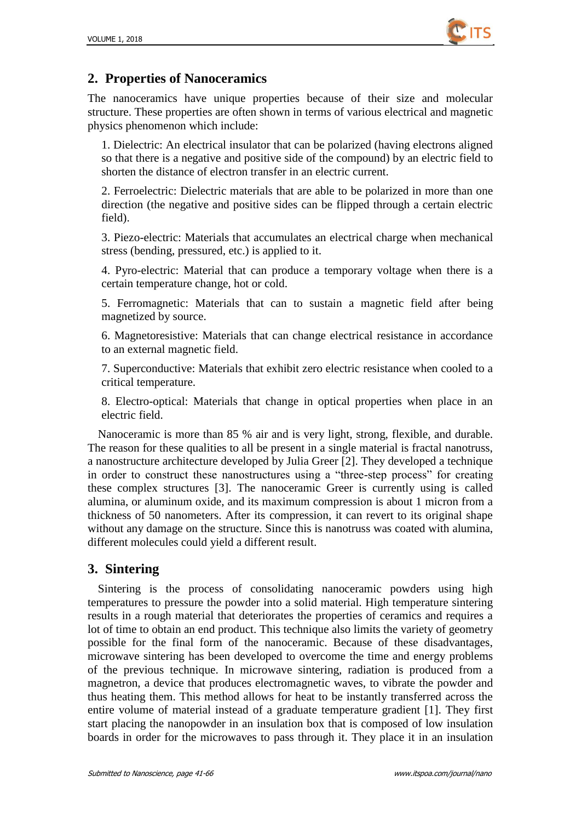

# **2. Properties of Nanoceramics**

The nanoceramics have unique properties because of their size and molecular structure. These properties are often shown in terms of various electrical and magnetic physics phenomenon which include:

1. Dielectric: An electrical insulator that can be polarized (having electrons aligned so that there is a negative and positive side of the compound) by an electric field to shorten the distance of electron transfer in an electric current.

2. Ferroelectric: Dielectric materials that are able to be polarized in more than one direction (the negative and positive sides can be flipped through a certain electric field).

3. Piezo-electric: Materials that accumulates an electrical charge when mechanical stress (bending, pressured, etc.) is applied to it.

4. Pyro-electric: Material that can produce a temporary voltage when there is a certain temperature change, hot or cold.

5. Ferromagnetic: Materials that can to sustain a magnetic field after being magnetized by source.

6. Magnetoresistive: Materials that can change electrical resistance in accordance to an external magnetic field.

7. Superconductive: Materials that exhibit zero electric resistance when cooled to a critical temperature.

8. Electro-optical: Materials that change in optical properties when place in an electric field.

Nanoceramic is more than 85 % air and is very light, strong, flexible, and durable. The reason for these qualities to all be present in a single material is fractal nanotruss, a nanostructure architecture developed by Julia Greer [2]. They developed a technique in order to construct these nanostructures using a "three-step process" for creating these complex structures [3]. The nanoceramic Greer is currently using is called alumina, or aluminum oxide, and its maximum compression is about 1 micron from a thickness of 50 nanometers. After its compression, it can revert to its original shape without any damage on the structure. Since this is nanotruss was coated with alumina, different molecules could yield a different result.

# **3. Sintering**

Sintering is the process of consolidating nanoceramic powders using high temperatures to pressure the powder into a solid material. High temperature sintering results in a rough material that deteriorates the properties of ceramics and requires a lot of time to obtain an end product. This technique also limits the variety of geometry possible for the final form of the nanoceramic. Because of these disadvantages, microwave sintering has been developed to overcome the time and energy problems of the previous technique. In microwave sintering, radiation is produced from a magnetron, a device that produces electromagnetic waves, to vibrate the powder and thus heating them. This method allows for heat to be instantly transferred across the entire volume of material instead of a graduate temperature gradient [1]. They first start placing the nanopowder in an insulation box that is composed of low insulation boards in order for the microwaves to pass through it. They place it in an insulation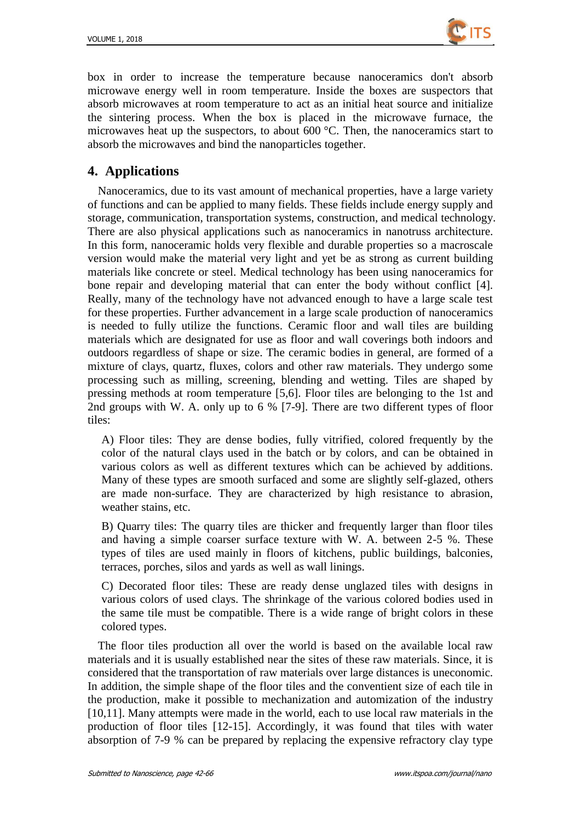

box in order to increase the temperature because nanoceramics don't absorb microwave energy well in room temperature. Inside the boxes are suspectors that absorb microwaves at room temperature to act as an initial heat source and initialize the sintering process. When the box is placed in the microwave furnace, the microwaves heat up the suspectors, to about 600  $\mathcal{C}$ . Then, the nanoceramics start to absorb the microwaves and bind the nanoparticles together.

# **4. Applications**

Nanoceramics, due to its vast amount of mechanical properties, have a large variety of functions and can be applied to many fields. These fields include energy supply and storage, communication, transportation systems, construction, and medical technology. There are also physical applications such as nanoceramics in nanotruss architecture. In this form, nanoceramic holds very flexible and durable properties so a macroscale version would make the material very light and yet be as strong as current building materials like concrete or steel. Medical technology has been using nanoceramics for bone repair and developing material that can enter the body without conflict [4]. Really, many of the technology have not advanced enough to have a large scale test for these properties. Further advancement in a large scale production of nanoceramics is needed to fully utilize the functions. Ceramic floor and wall tiles are building materials which are designated for use as floor and wall coverings both indoors and outdoors regardless of shape or size. The ceramic bodies in general, are formed of a mixture of clays, quartz, fluxes, colors and other raw materials. They undergo some processing such as milling, screening, blending and wetting. Tiles are shaped by pressing methods at room temperature [5,6]. Floor tiles are belonging to the 1st and 2nd groups with W. A. only up to 6 % [7-9]. There are two different types of floor tiles:

A) Floor tiles: They are dense bodies, fully vitrified, colored frequently by the color of the natural clays used in the batch or by colors, and can be obtained in various colors as well as different textures which can be achieved by additions. Many of these types are smooth surfaced and some are slightly self-glazed, others are made non-surface. They are characterized by high resistance to abrasion, weather stains, etc.

B) Quarry tiles: The quarry tiles are thicker and frequently larger than floor tiles and having a simple coarser surface texture with W. A. between 2-5 %. These types of tiles are used mainly in floors of kitchens, public buildings, balconies, terraces, porches, silos and yards as well as wall linings.

C) Decorated floor tiles: These are ready dense unglazed tiles with designs in various colors of used clays. The shrinkage of the various colored bodies used in the same tile must be compatible. There is a wide range of bright colors in these colored types.

The floor tiles production all over the world is based on the available local raw materials and it is usually established near the sites of these raw materials. Since, it is considered that the transportation of raw materials over large distances is uneconomic. In addition, the simple shape of the floor tiles and the conventient size of each tile in the production, make it possible to mechanization and automization of the industry [10,11]. Many attempts were made in the world, each to use local raw materials in the production of floor tiles [12-15]. Accordingly, it was found that tiles with water absorption of 7-9 % can be prepared by replacing the expensive refractory clay type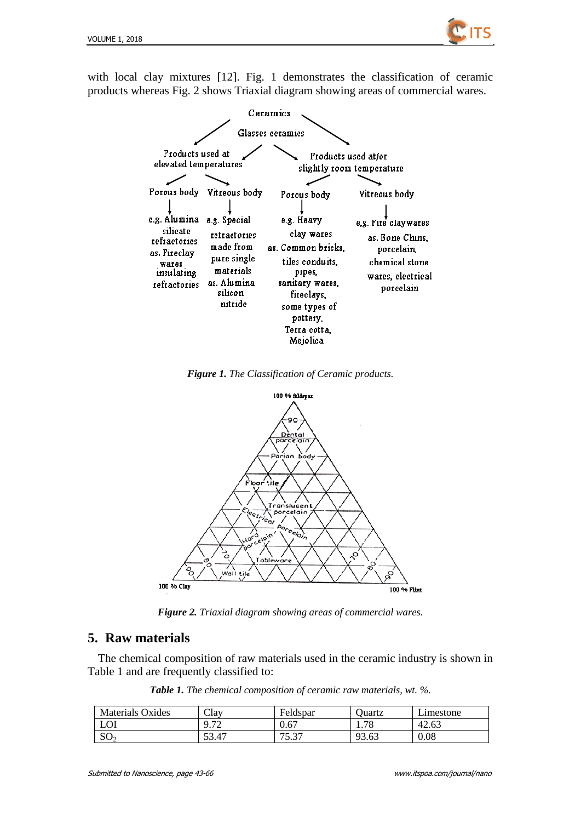

with local clay mixtures [12]. Fig. 1 demonstrates the classification of ceramic products whereas Fig. 2 shows Triaxial diagram showing areas of commercial wares.



*Figure 1. The Classification of Ceramic products.*



*Figure 2. Triaxial diagram showing areas of commercial wares.*

## **5. Raw materials**

The chemical composition of raw materials used in the ceramic industry is shown in Table 1 and are frequently classified to:

*Table 1. The chemical composition of ceramic raw materials, wt. %.*

| <b>Materials Oxides</b> | Clay                         | Feldspar       | Juartz | ∟ımestone |
|-------------------------|------------------------------|----------------|--------|-----------|
| LOI                     | $\sqrt{7}$<br>, , , <u>,</u> | 0.67           | 1.78   | 42.63     |
| SO <sub>2</sub>         | 53.47                        | 75.37<br>. ب ب | 93.63  | 0.08      |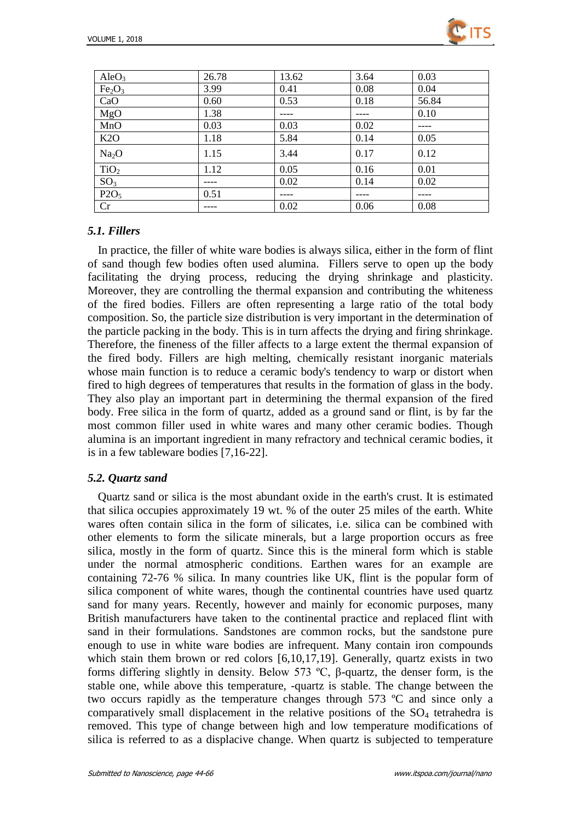

| AleO <sub>3</sub>              | 26.78 | 13.62 | 3.64 | 0.03  |
|--------------------------------|-------|-------|------|-------|
| Fe <sub>2</sub> O <sub>3</sub> | 3.99  | 0.41  | 0.08 | 0.04  |
| CaO                            | 0.60  | 0.53  | 0.18 | 56.84 |
| MgO                            | 1.38  |       |      | 0.10  |
| MnO                            | 0.03  | 0.03  | 0.02 |       |
| K2O                            | 1.18  | 5.84  | 0.14 | 0.05  |
| Na <sub>2</sub> O              | 1.15  | 3.44  | 0.17 | 0.12  |
| TiO <sub>2</sub>               | 1.12  | 0.05  | 0.16 | 0.01  |
| SO <sub>3</sub>                |       | 0.02  | 0.14 | 0.02  |
| P2O <sub>5</sub>               | 0.51  |       |      |       |
| Cr                             |       | 0.02  | 0.06 | 0.08  |

## *5.1. Fillers*

In practice, the filler of white ware bodies is always silica, either in the form of flint of sand though few bodies often used alumina. Fillers serve to open up the body facilitating the drying process, reducing the drying shrinkage and plasticity. Moreover, they are controlling the thermal expansion and contributing the whiteness of the fired bodies. Fillers are often representing a large ratio of the total body composition. So, the particle size distribution is very important in the determination of the particle packing in the body. This is in turn affects the drying and firing shrinkage. Therefore, the fineness of the filler affects to a large extent the thermal expansion of the fired body. Fillers are high melting, chemically resistant inorganic materials whose main function is to reduce a ceramic body's tendency to warp or distort when fired to high degrees of temperatures that results in the formation of glass in the body. They also play an important part in determining the thermal expansion of the fired body. Free silica in the form of quartz, added as a ground sand or flint, is by far the most common filler used in white wares and many other ceramic bodies. Though alumina is an important ingredient in many refractory and technical ceramic bodies, it is in a few tableware bodies [7,16-22].

### *5.2. Quartz sand*

Quartz sand or silica is the most abundant oxide in the earth's crust. It is estimated that silica occupies approximately 19 wt. % of the outer 25 miles of the earth. White wares often contain silica in the form of silicates, i.e. silica can be combined with other elements to form the silicate minerals, but a large proportion occurs as free silica, mostly in the form of quartz. Since this is the mineral form which is stable under the normal atmospheric conditions. Earthen wares for an example are containing 72-76 % silica. In many countries like UK, flint is the popular form of silica component of white wares, though the continental countries have used quartz sand for many years. Recently, however and mainly for economic purposes, many British manufacturers have taken to the continental practice and replaced flint with sand in their formulations. Sandstones are common rocks, but the sandstone pure enough to use in white ware bodies are infrequent. Many contain iron compounds which stain them brown or red colors [6,10,17,19]. Generally, quartz exists in two forms differing slightly in density. Below 573 ºC, β-quartz, the denser form, is the stable one, while above this temperature, -quartz is stable. The change between the two occurs rapidly as the temperature changes through 573  $\mathbb{C}$  and since only a comparatively small displacement in the relative positions of the  $SO<sub>4</sub>$  tetrahedra is removed. This type of change between high and low temperature modifications of silica is referred to as a displacive change. When quartz is subjected to temperature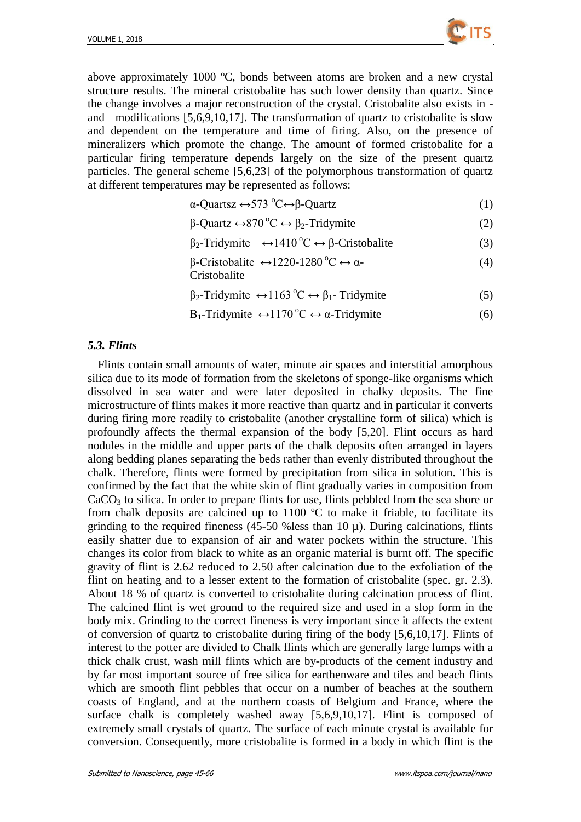

above approximately 1000  $\mathbb{C}$ , bonds between atoms are broken and a new crystal structure results. The mineral cristobalite has such lower density than quartz. Since the change involves a major reconstruction of the crystal. Cristobalite also exists in and modifications [5,6,9,10,17]. The transformation of quartz to cristobalite is slow and dependent on the temperature and time of firing. Also, on the presence of mineralizers which promote the change. The amount of formed cristobalite for a particular firing temperature depends largely on the size of the present quartz particles. The general scheme [5,6,23] of the polymorphous transformation of quartz at different temperatures may be represented as follows:

$$
\alpha\text{-Quartsz}\leftrightarrow 573\text{ °C}\leftrightarrow \beta\text{-Quartz}\tag{1}
$$

$$
\beta\text{-Quartz} \leftrightarrow 870^{\circ}\text{C} \leftrightarrow \beta_2\text{-Tridymite}
$$
 (2)

- $β_2$ -Tridymite  $\leftrightarrow$ 1410<sup>o</sup>C ↔ β-Cristobalite (3)
- β-Cristobalite  $\leftrightarrow$ 1220-1280 °C  $\leftrightarrow$  α-(4)

Cristobalite

- $\beta_2$ -Tridymite  $\leftrightarrow$ 1163 <sup>o</sup>C  $\leftrightarrow$   $\beta_1$  Tridymite (5)
- $B_1$ -Tridymite  $\leftrightarrow$ 1170 °C  $\leftrightarrow$  α-Tridymite (6)

#### *5.3. Flints*

Flints contain small amounts of water, minute air spaces and interstitial amorphous silica due to its mode of formation from the skeletons of sponge-like organisms which dissolved in sea water and were later deposited in chalky deposits. The fine microstructure of flints makes it more reactive than quartz and in particular it converts during firing more readily to cristobalite (another crystalline form of silica) which is profoundly affects the thermal expansion of the body [5,20]. Flint occurs as hard nodules in the middle and upper parts of the chalk deposits often arranged in layers along bedding planes separating the beds rather than evenly distributed throughout the chalk. Therefore, flints were formed by precipitation from silica in solution. This is confirmed by the fact that the white skin of flint gradually varies in composition from  $CaCO<sub>3</sub>$  to silica. In order to prepare flints for use, flints pebbled from the sea shore or from chalk deposits are calcined up to  $1100$  °C to make it friable, to facilitate its grinding to the required fineness (45-50 % less than 10  $\mu$ ). During calcinations, flints easily shatter due to expansion of air and water pockets within the structure. This changes its color from black to white as an organic material is burnt off. The specific gravity of flint is 2.62 reduced to 2.50 after calcination due to the exfoliation of the flint on heating and to a lesser extent to the formation of cristobalite (spec. gr. 2.3). About 18 % of quartz is converted to cristobalite during calcination process of flint. The calcined flint is wet ground to the required size and used in a slop form in the body mix. Grinding to the correct fineness is very important since it affects the extent of conversion of quartz to cristobalite during firing of the body [5,6,10,17]. Flints of interest to the potter are divided to Chalk flints which are generally large lumps with a thick chalk crust, wash mill flints which are by-products of the cement industry and by far most important source of free silica for earthenware and tiles and beach flints which are smooth flint pebbles that occur on a number of beaches at the southern coasts of England, and at the northern coasts of Belgium and France, where the surface chalk is completely washed away [5,6,9,10,17]. Flint is composed of extremely small crystals of quartz. The surface of each minute crystal is available for conversion. Consequently, more cristobalite is formed in a body in which flint is the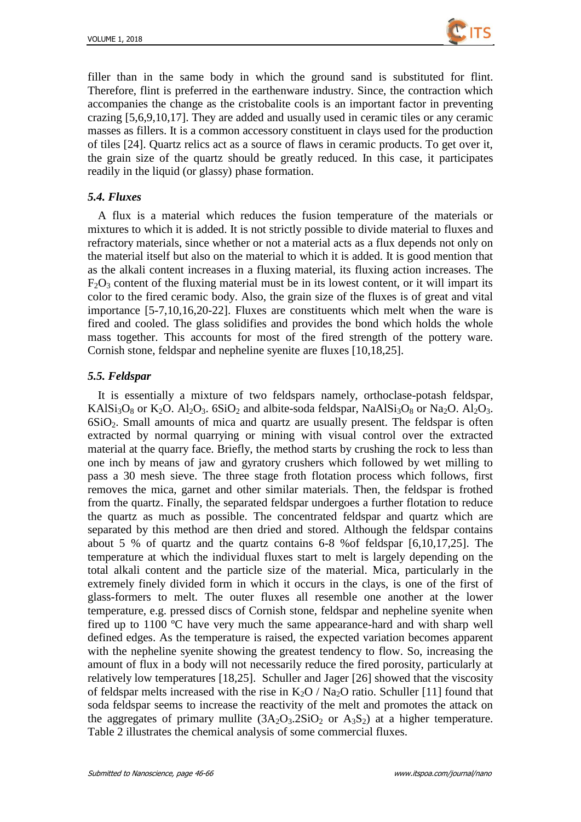

filler than in the same body in which the ground sand is substituted for flint. Therefore, flint is preferred in the earthenware industry. Since, the contraction which accompanies the change as the cristobalite cools is an important factor in preventing crazing [5,6,9,10,17]. They are added and usually used in ceramic tiles or any ceramic masses as fillers. It is a common accessory constituent in clays used for the production of tiles [24]. Quartz relics act as a source of flaws in ceramic products. To get over it, the grain size of the quartz should be greatly reduced. In this case, it participates readily in the liquid (or glassy) phase formation.

#### *5.4. Fluxes*

A flux is a material which reduces the fusion temperature of the materials or mixtures to which it is added. It is not strictly possible to divide material to fluxes and refractory materials, since whether or not a material acts as a flux depends not only on the material itself but also on the material to which it is added. It is good mention that as the alkali content increases in a fluxing material, its fluxing action increases. The  $F_2O_3$  content of the fluxing material must be in its lowest content, or it will impart its color to the fired ceramic body. Also, the grain size of the fluxes is of great and vital importance [5-7,10,16,20-22]. Fluxes are constituents which melt when the ware is fired and cooled. The glass solidifies and provides the bond which holds the whole mass together. This accounts for most of the fired strength of the pottery ware. Cornish stone, feldspar and nepheline syenite are fluxes [10,18,25].

### *5.5. Feldspar*

It is essentially a mixture of two feldspars namely, orthoclase-potash feldspar, KAl $Si<sub>3</sub>O<sub>8</sub>$  or K<sub>2</sub>O. Al<sub>2</sub>O<sub>3</sub>. 6SiO<sub>2</sub> and albite-soda feldspar, NaAlSi<sub>3</sub>O<sub>8</sub> or Na<sub>2</sub>O. Al<sub>2</sub>O<sub>3</sub>.  $6SiO<sub>2</sub>$ . Small amounts of mica and quartz are usually present. The feldspar is often extracted by normal quarrying or mining with visual control over the extracted material at the quarry face. Briefly, the method starts by crushing the rock to less than one inch by means of jaw and gyratory crushers which followed by wet milling to pass a 30 mesh sieve. The three stage froth flotation process which follows, first removes the mica, garnet and other similar materials. Then, the feldspar is frothed from the quartz. Finally, the separated feldspar undergoes a further flotation to reduce the quartz as much as possible. The concentrated feldspar and quartz which are separated by this method are then dried and stored. Although the feldspar contains about 5 % of quartz and the quartz contains 6-8 %of feldspar [6,10,17,25]. The temperature at which the individual fluxes start to melt is largely depending on the total alkali content and the particle size of the material. Mica, particularly in the extremely finely divided form in which it occurs in the clays, is one of the first of glass-formers to melt. The outer fluxes all resemble one another at the lower temperature, e.g. pressed discs of Cornish stone, feldspar and nepheline syenite when fired up to  $1100$   $\degree$  have very much the same appearance-hard and with sharp well defined edges. As the temperature is raised, the expected variation becomes apparent with the nepheline syenite showing the greatest tendency to flow. So, increasing the amount of flux in a body will not necessarily reduce the fired porosity, particularly at relatively low temperatures [18,25]. Schuller and Jager [26] showed that the viscosity of feldspar melts increased with the rise in  $K_2O / Na_2O$  ratio. Schuller [11] found that soda feldspar seems to increase the reactivity of the melt and promotes the attack on the aggregates of primary mullite  $(3A_2O_3.2SiO_2$  or  $A_3S_2$ ) at a higher temperature. Table 2 illustrates the chemical analysis of some commercial fluxes.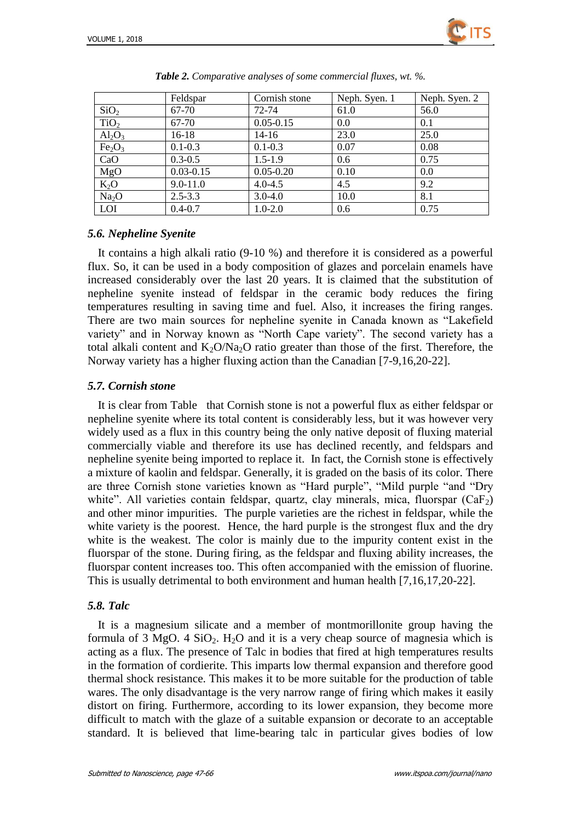

|                                | Feldspar      | Cornish stone | Neph. Syen. 1 | Neph. Syen. 2 |
|--------------------------------|---------------|---------------|---------------|---------------|
| SiO <sub>2</sub>               | 67-70         | 72-74         | 61.0          | 56.0          |
| TiO <sub>2</sub>               | 67-70         | $0.05 - 0.15$ | 0.0           | 0.1           |
| $Al_2O_3$                      | $16-18$       | 14-16         | 23.0          | 25.0          |
| Fe <sub>2</sub> O <sub>3</sub> | $0.1 - 0.3$   | $0.1 - 0.3$   | 0.07          | 0.08          |
| CaO                            | $0.3 - 0.5$   | $1.5 - 1.9$   | 0.6           | 0.75          |
| MgO                            | $0.03 - 0.15$ | $0.05 - 0.20$ | 0.10          | 0.0           |
| $K_2O$                         | $9.0 - 11.0$  | $4.0 - 4.5$   | 4.5           | 9.2           |
| Na <sub>2</sub> O              | $2.5 - 3.3$   | $3.0 - 4.0$   | 10.0          | 8.1           |
| <b>LOI</b>                     | $0.4 - 0.7$   | $1.0 - 2.0$   | 0.6           | 0.75          |

|  | Table 2. Comparative analyses of some commercial fluxes, wt. %. |  |
|--|-----------------------------------------------------------------|--|
|  |                                                                 |  |

### *5.6. Nepheline Syenite*

It contains a high alkali ratio (9-10 %) and therefore it is considered as a powerful flux. So, it can be used in a body composition of glazes and porcelain enamels have increased considerably over the last 20 years. It is claimed that the substitution of nepheline syenite instead of feldspar in the ceramic body reduces the firing temperatures resulting in saving time and fuel. Also, it increases the firing ranges. There are two main sources for nepheline syenite in Canada known as "Lakefield variety" and in Norway known as "North Cape variety". The second variety has a total alkali content and  $K_2O/Na_2O$  ratio greater than those of the first. Therefore, the Norway variety has a higher fluxing action than the Canadian [7-9,16,20-22].

### *5.7. Cornish stone*

It is clear from Table that Cornish stone is not a powerful flux as either feldspar or nepheline syenite where its total content is considerably less, but it was however very widely used as a flux in this country being the only native deposit of fluxing material commercially viable and therefore its use has declined recently, and feldspars and nepheline syenite being imported to replace it. In fact, the Cornish stone is effectively a mixture of kaolin and feldspar. Generally, it is graded on the basis of its color. There are three Cornish stone varieties known as "Hard purple", "Mild purple "and "Dry white". All varieties contain feldspar, quartz, clay minerals, mica, fluorspar  $(CaF_2)$ and other minor impurities. The purple varieties are the richest in feldspar, while the white variety is the poorest. Hence, the hard purple is the strongest flux and the dry white is the weakest. The color is mainly due to the impurity content exist in the fluorspar of the stone. During firing, as the feldspar and fluxing ability increases, the fluorspar content increases too. This often accompanied with the emission of fluorine. This is usually detrimental to both environment and human health [7,16,17,20-22].

### *5.8. Talc*

It is a magnesium silicate and a member of montmorillonite group having the formula of 3 MgO. 4 SiO<sub>2</sub>. H<sub>2</sub>O and it is a very cheap source of magnesia which is acting as a flux. The presence of Talc in bodies that fired at high temperatures results in the formation of cordierite. This imparts low thermal expansion and therefore good thermal shock resistance. This makes it to be more suitable for the production of table wares. The only disadvantage is the very narrow range of firing which makes it easily distort on firing. Furthermore, according to its lower expansion, they become more difficult to match with the glaze of a suitable expansion or decorate to an acceptable standard. It is believed that lime-bearing talc in particular gives bodies of low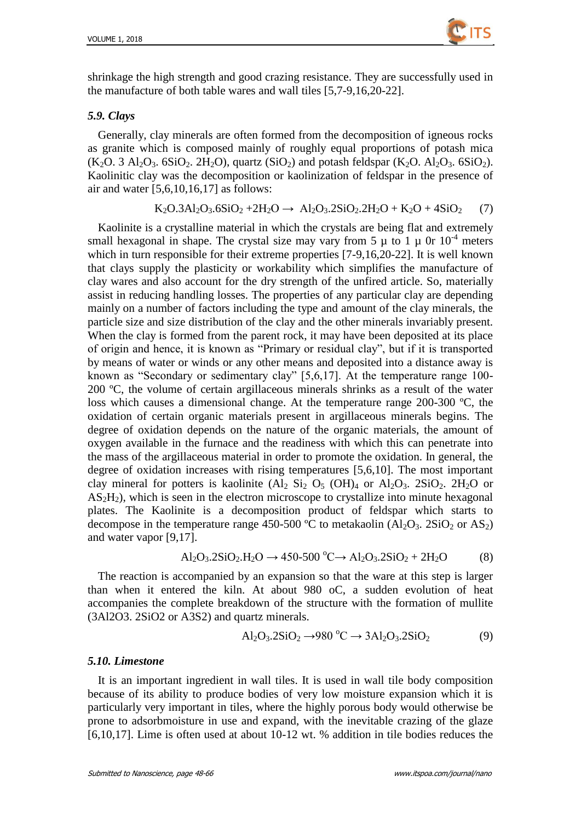

shrinkage the high strength and good crazing resistance. They are successfully used in the manufacture of both table wares and wall tiles [5,7-9,16,20-22].

#### *5.9. Clays*

Generally, clay minerals are often formed from the decomposition of igneous rocks as granite which is composed mainly of roughly equal proportions of potash mica  $(K_2O. 3 \text{ Al}_2O_3. 6SiO_2. 2H_2O)$ , quartz  $(SiO_2)$  and potash feldspar  $(K_2O. Al_2O_3. 6SiO_2)$ . Kaolinitic clay was the decomposition or kaolinization of feldspar in the presence of air and water [5,6,10,16,17] as follows:

$$
K_2O.3Al_2O_3.6SiO_2 + 2H_2O \rightarrow Al_2O_3.2SiO_2.2H_2O + K_2O + 4SiO_2 \tag{7}
$$

Kaolinite is a crystalline material in which the crystals are being flat and extremely small hexagonal in shape. The crystal size may vary from 5  $\mu$  to 1  $\mu$  0r 10<sup>-4</sup> meters which in turn responsible for their extreme properties [7-9,16,20-22]. It is well known that clays supply the plasticity or workability which simplifies the manufacture of clay wares and also account for the dry strength of the unfired article. So, materially assist in reducing handling losses. The properties of any particular clay are depending mainly on a number of factors including the type and amount of the clay minerals, the particle size and size distribution of the clay and the other minerals invariably present. When the clay is formed from the parent rock, it may have been deposited at its place of origin and hence, it is known as "Primary or residual clay", but if it is transported by means of water or winds or any other means and deposited into a distance away is known as "Secondary or sedimentary clay" [5,6,17]. At the temperature range 100- 200  $\mathbb{C}$ , the volume of certain argillaceous minerals shrinks as a result of the water loss which causes a dimensional change. At the temperature range  $200-300$  °C, the oxidation of certain organic materials present in argillaceous minerals begins. The degree of oxidation depends on the nature of the organic materials, the amount of oxygen available in the furnace and the readiness with which this can penetrate into the mass of the argillaceous material in order to promote the oxidation. In general, the degree of oxidation increases with rising temperatures [5,6,10]. The most important clay mineral for potters is kaolinite  $(Al_2 Si_2 O_5 (OH)_4$  or  $Al_2O_3$ .  $2SiO_2$ .  $2H_2O$  or  $AS<sub>2</sub>H<sub>2</sub>$ ), which is seen in the electron microscope to crystallize into minute hexagonal plates. The Kaolinite is a decomposition product of feldspar which starts to decompose in the temperature range 450-500  $\mathbb C$  to metakaolin (Al<sub>2</sub>O<sub>3</sub>. 2SiO<sub>2</sub> or AS<sub>2</sub>) and water vapor [9,17].

$$
Al_2O_3.2SiO_2.H_2O \to 450-500\,^{\circ}C \to Al_2O_3.2SiO_2 + 2H_2O\tag{8}
$$

The reaction is accompanied by an expansion so that the ware at this step is larger than when it entered the kiln. At about 980 oC, a sudden evolution of heat accompanies the complete breakdown of the structure with the formation of mullite (3Al2O3. 2SiO2 or A3S2) and quartz minerals.

$$
Al_2O_3.2SiO_2 \rightarrow 980\,^{\circ}\text{C} \rightarrow 3Al_2O_3.2SiO_2\tag{9}
$$

#### *5.10. Limestone*

It is an important ingredient in wall tiles. It is used in wall tile body composition because of its ability to produce bodies of very low moisture expansion which it is particularly very important in tiles, where the highly porous body would otherwise be prone to adsorbmoisture in use and expand, with the inevitable crazing of the glaze [6,10,17]. Lime is often used at about 10-12 wt. % addition in tile bodies reduces the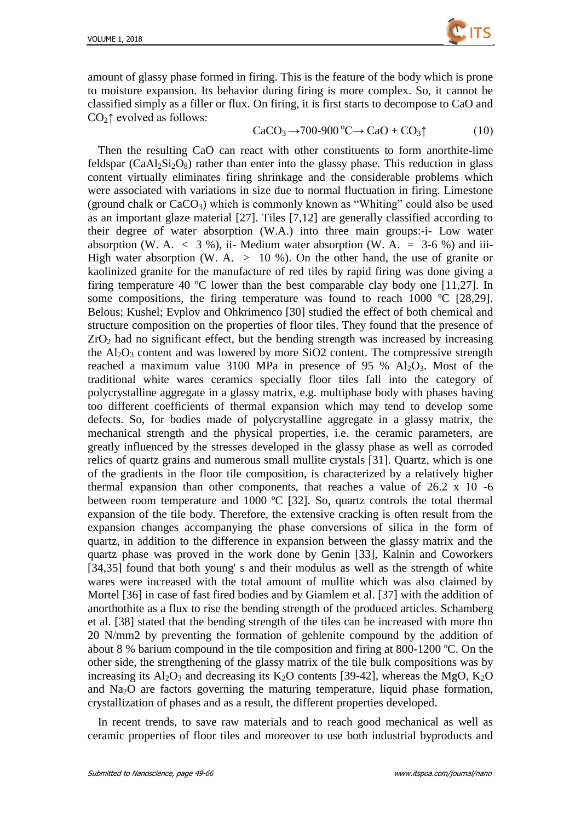

amount of glassy phase formed in firing. This is the feature of the body which is prone to moisture expansion. Its behavior during firing is more complex. So, it cannot be classified simply as a filler or flux. On firing, it is first starts to decompose to CaO and  $CO<sub>2</sub>$ ↑ evolved as follows:

$$
CaCO3 \rightarrow 700-900 \,^{\circ}\text{C} \rightarrow CaO + CO3\uparrow \tag{10}
$$

Then the resulting CaO can react with other constituents to form anorthite-lime feldspar  $(CaAl<sub>2</sub>Si<sub>2</sub>O<sub>8</sub>)$  rather than enter into the glassy phase. This reduction in glass content virtually eliminates firing shrinkage and the considerable problems which were associated with variations in size due to normal fluctuation in firing. Limestone (ground chalk or  $CaCO<sub>3</sub>$ ) which is commonly known as "Whiting" could also be used as an important glaze material [27]. Tiles [7,12] are generally classified according to their degree of water absorption (W.A.) into three main groups:-i- Low water absorption (W. A.  $\langle 3, 9 \rangle$ , ii- Medium water absorption (W. A. = 3-6 %) and iii-High water absorption (W. A.  $> 10\%$ ). On the other hand, the use of granite or kaolinized granite for the manufacture of red tiles by rapid firing was done giving a firing temperature 40  $\degree$  lower than the best comparable clay body one [11,27]. In some compositions, the firing temperature was found to reach 1000  $\mathbb{C}$  [28,29]. Belous; Kushel; Evplov and Ohkrimenco [30] studied the effect of both chemical and structure composition on the properties of floor tiles. They found that the presence of  $ZrO<sub>2</sub>$  had no significant effect, but the bending strength was increased by increasing the  $Al_2O_3$  content and was lowered by more SiO2 content. The compressive strength reached a maximum value 3100 MPa in presence of 95 %  $Al_2O_3$ . Most of the traditional white wares ceramics specially floor tiles fall into the category of polycrystalline aggregate in a glassy matrix, e.g. multiphase body with phases having too different coefficients of thermal expansion which may tend to develop some defects. So, for bodies made of polycrystalline aggregate in a glassy matrix, the mechanical strength and the physical properties, i.e. the ceramic parameters, are greatly influenced by the stresses developed in the glassy phase as well as corroded relics of quartz grains and numerous small mullite crystals [31]. Quartz, which is one of the gradients in the floor tile composition, is characterized by a relatively higher thermal expansion than other components, that reaches a value of 26.2 x 10 -6 between room temperature and 1000  $\mathbb{C}$  [32]. So, quartz controls the total thermal expansion of the tile body. Therefore, the extensive cracking is often result from the expansion changes accompanying the phase conversions of silica in the form of quartz, in addition to the difference in expansion between the glassy matrix and the quartz phase was proved in the work done by Genin [33], Kalnin and Coworkers [34,35] found that both young' s and their modulus as well as the strength of white wares were increased with the total amount of mullite which was also claimed by Mortel [36] in case of fast fired bodies and by Giamlem et al. [37] with the addition of anorthothite as a flux to rise the bending strength of the produced articles. Schamberg et al. [38] stated that the bending strength of the tiles can be increased with more thn 20 N/mm2 by preventing the formation of gehlenite compound by the addition of about 8 % barium compound in the tile composition and firing at 800-1200  $\mathbb{C}$ . On the other side, the strengthening of the glassy matrix of the tile bulk compositions was by increasing its  $Al_2O_3$  and decreasing its  $K_2O$  contents [39-42], whereas the MgO,  $K_2O$ and  $Na<sub>2</sub>O$  are factors governing the maturing temperature, liquid phase formation, crystallization of phases and as a result, the different properties developed.

In recent trends, to save raw materials and to reach good mechanical as well as ceramic properties of floor tiles and moreover to use both industrial byproducts and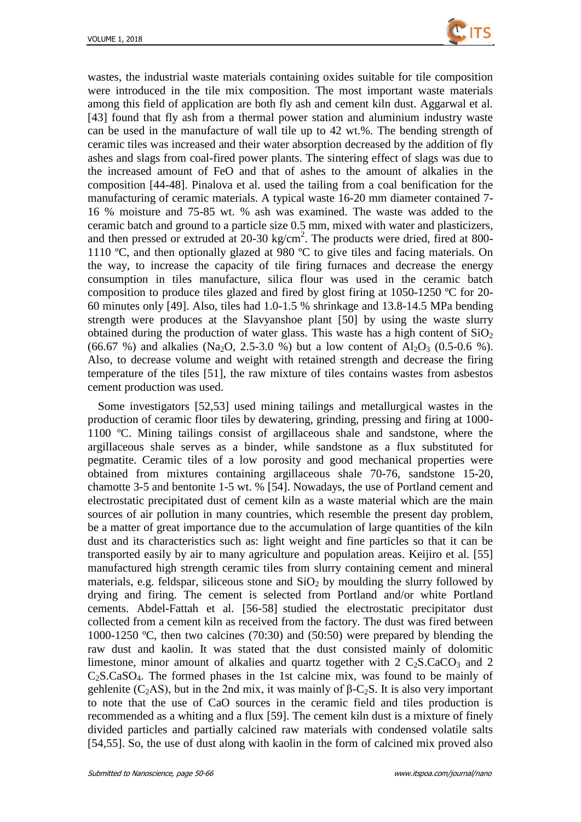

wastes, the industrial waste materials containing oxides suitable for tile composition were introduced in the tile mix composition. The most important waste materials among this field of application are both fly ash and cement kiln dust. Aggarwal et al. [43] found that fly ash from a thermal power station and aluminium industry waste can be used in the manufacture of wall tile up to 42 wt.%. The bending strength of ceramic tiles was increased and their water absorption decreased by the addition of fly ashes and slags from coal-fired power plants. The sintering effect of slags was due to the increased amount of FeO and that of ashes to the amount of alkalies in the composition [44-48]. Pinalova et al. used the tailing from a coal benification for the manufacturing of ceramic materials. A typical waste 16-20 mm diameter contained 7- 16 % moisture and 75-85 wt. % ash was examined. The waste was added to the ceramic batch and ground to a particle size 0.5 mm, mixed with water and plasticizers, and then pressed or extruded at 20-30 kg/cm<sup>2</sup>. The products were dried, fired at 800-1110  $\mathbb{C}$ , and then optionally glazed at 980  $\mathbb{C}$  to give tiles and facing materials. On the way, to increase the capacity of tile firing furnaces and decrease the energy consumption in tiles manufacture, silica flour was used in the ceramic batch composition to produce tiles glazed and fired by glost firing at 1050-1250  $\degree$  C for 20-60 minutes only [49]. Also, tiles had 1.0-1.5 % shrinkage and 13.8-14.5 MPa bending strength were produces at the Slavyanshoe plant [50] by using the waste slurry obtained during the production of water glass. This waste has a high content of  $SiO<sub>2</sub>$ (66.67 %) and alkalies (Na<sub>2</sub>O, 2.5-3.0 %) but a low content of Al<sub>2</sub>O<sub>3</sub> (0.5-0.6 %). Also, to decrease volume and weight with retained strength and decrease the firing temperature of the tiles [51], the raw mixture of tiles contains wastes from asbestos cement production was used.

Some investigators [52,53] used mining tailings and metallurgical wastes in the production of ceramic floor tiles by dewatering, grinding, pressing and firing at 1000- 1100 ºC. Mining tailings consist of argillaceous shale and sandstone, where the argillaceous shale serves as a binder, while sandstone as a flux substituted for pegmatite. Ceramic tiles of a low porosity and good mechanical properties were obtained from mixtures containing argillaceous shale 70-76, sandstone 15-20, chamotte 3-5 and bentonite 1-5 wt. % [54]. Nowadays, the use of Portland cement and electrostatic precipitated dust of cement kiln as a waste material which are the main sources of air pollution in many countries, which resemble the present day problem, be a matter of great importance due to the accumulation of large quantities of the kiln dust and its characteristics such as: light weight and fine particles so that it can be transported easily by air to many agriculture and population areas. Keijiro et al. [55] manufactured high strength ceramic tiles from slurry containing cement and mineral materials, e.g. feldspar, siliceous stone and  $SiO<sub>2</sub>$  by moulding the slurry followed by drying and firing. The cement is selected from Portland and/or white Portland cements. Abdel-Fattah et al. [56-58] studied the electrostatic precipitator dust collected from a cement kiln as received from the factory. The dust was fired between 1000-1250  $\mathbb{C}$ , then two calcines (70:30) and (50:50) were prepared by blending the raw dust and kaolin. It was stated that the dust consisted mainly of dolomitic limestone, minor amount of alkalies and quartz together with  $2 \text{ C}_2$ S.CaCO<sub>3</sub> and  $2$ C2S.CaSO4. The formed phases in the 1st calcine mix, was found to be mainly of gehlenite (C<sub>2</sub>AS), but in the 2nd mix, it was mainly of  $\beta$ -C<sub>2</sub>S. It is also very important to note that the use of CaO sources in the ceramic field and tiles production is recommended as a whiting and a flux [59]. The cement kiln dust is a mixture of finely divided particles and partially calcined raw materials with condensed volatile salts [54,55]. So, the use of dust along with kaolin in the form of calcined mix proved also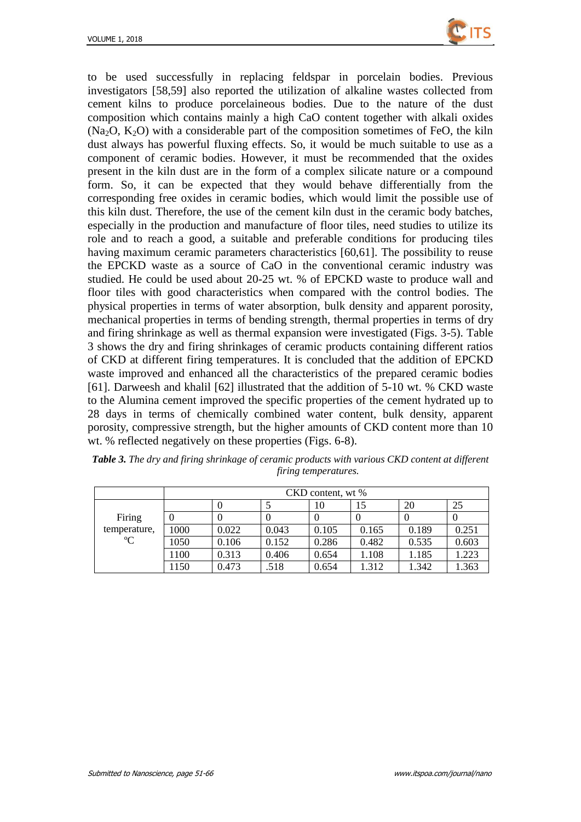

to be used successfully in replacing feldspar in porcelain bodies. Previous investigators [58,59] also reported the utilization of alkaline wastes collected from cement kilns to produce porcelaineous bodies. Due to the nature of the dust composition which contains mainly a high CaO content together with alkali oxides  $(Na<sub>2</sub>O, K<sub>2</sub>O)$  with a considerable part of the composition sometimes of FeO, the kiln dust always has powerful fluxing effects. So, it would be much suitable to use as a component of ceramic bodies. However, it must be recommended that the oxides present in the kiln dust are in the form of a complex silicate nature or a compound form. So, it can be expected that they would behave differentially from the corresponding free oxides in ceramic bodies, which would limit the possible use of this kiln dust. Therefore, the use of the cement kiln dust in the ceramic body batches, especially in the production and manufacture of floor tiles, need studies to utilize its role and to reach a good, a suitable and preferable conditions for producing tiles having maximum ceramic parameters characteristics [60,61]. The possibility to reuse the EPCKD waste as a source of CaO in the conventional ceramic industry was studied. He could be used about 20-25 wt. % of EPCKD waste to produce wall and floor tiles with good characteristics when compared with the control bodies. The physical properties in terms of water absorption, bulk density and apparent porosity, mechanical properties in terms of bending strength, thermal properties in terms of dry and firing shrinkage as well as thermal expansion were investigated (Figs. 3-5). Table 3 shows the dry and firing shrinkages of ceramic products containing different ratios of CKD at different firing temperatures. It is concluded that the addition of EPCKD waste improved and enhanced all the characteristics of the prepared ceramic bodies [61]. Darweesh and khalil [62] illustrated that the addition of 5-10 wt. % CKD waste to the Alumina cement improved the specific properties of the cement hydrated up to 28 days in terms of chemically combined water content, bulk density, apparent porosity, compressive strength, but the higher amounts of CKD content more than 10 wt. % reflected negatively on these properties (Figs. 6-8).

|              |      | CKD content, wt % |       |       |       |       |       |
|--------------|------|-------------------|-------|-------|-------|-------|-------|
|              |      | U                 |       | 10    | 15    | 20    | 25    |
| Firing       |      |                   |       |       |       |       |       |
| temperature, | 1000 | 0.022             | 0.043 | 0.105 | 0.165 | 0.189 | 0.251 |
| C            | 1050 | 0.106             | 0.152 | 0.286 | 0.482 | 0.535 | 0.603 |
|              | 1100 | 0.313             | 0.406 | 0.654 | 1.108 | 1.185 | 1.223 |
|              | 1150 | 0.473             | .518  | 0.654 | 1.312 | 1.342 | 1.363 |

*Table 3. The dry and firing shrinkage of ceramic products with various CKD content at different firing temperatures.*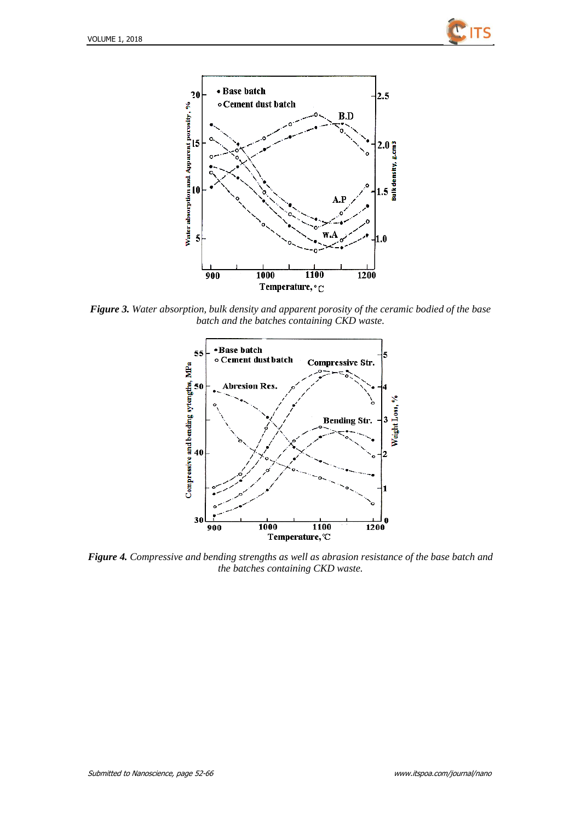



*Figure 3. Water absorption, bulk density and apparent porosity of the ceramic bodied of the base batch and the batches containing CKD waste.*



*Figure 4. Compressive and bending strengths as well as abrasion resistance of the base batch and the batches containing CKD waste.*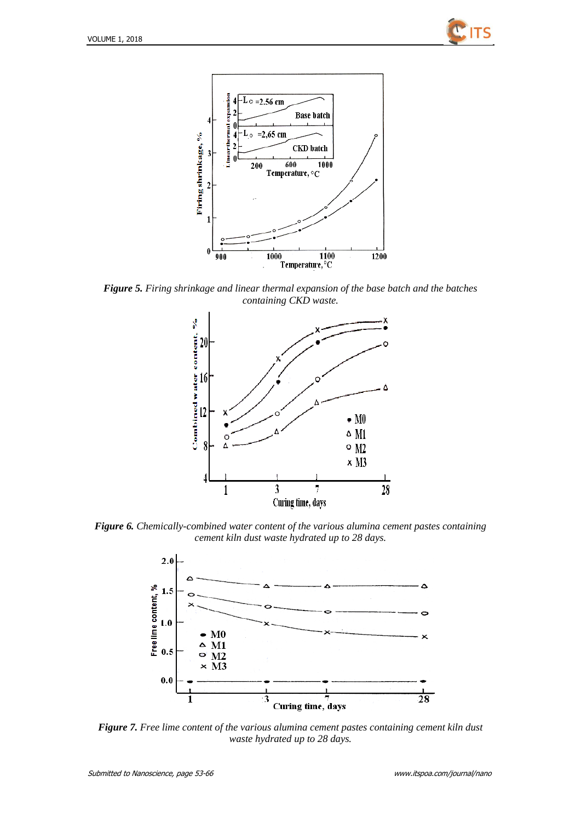



*Figure 5. Firing shrinkage and linear thermal expansion of the base batch and the batches containing CKD waste.*



*Figure 6. Chemically-combined water content of the various alumina cement pastes containing cement kiln dust waste hydrated up to 28 days.*



*Figure 7. Free lime content of the various alumina cement pastes containing cement kiln dust waste hydrated up to 28 days.*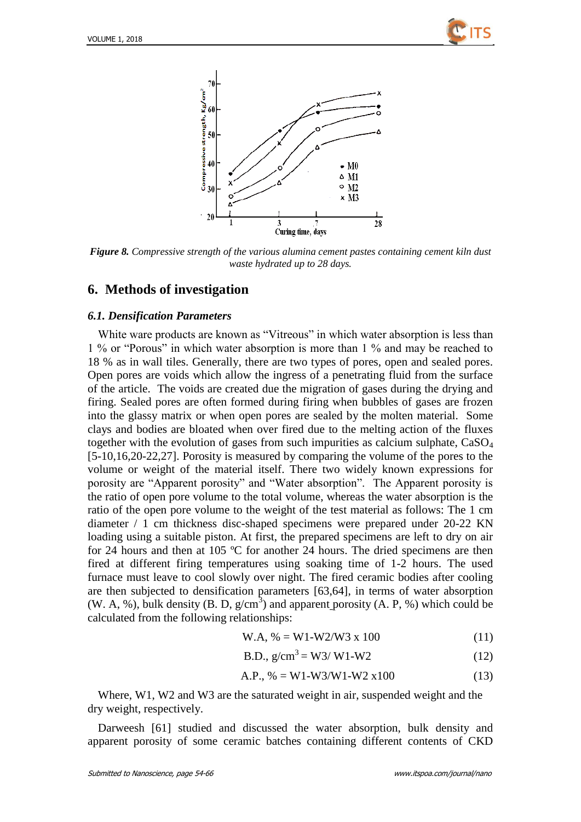



*Figure 8. Compressive strength of the various alumina cement pastes containing cement kiln dust waste hydrated up to 28 days.* 

### **6. Methods of investigation**

#### *6.1. Densification Parameters*

White ware products are known as "Vitreous" in which water absorption is less than 1 % or "Porous" in which water absorption is more than 1 % and may be reached to 18 % as in wall tiles. Generally, there are two types of pores, open and sealed pores. Open pores are voids which allow the ingress of a penetrating fluid from the surface of the article. The voids are created due the migration of gases during the drying and firing. Sealed pores are often formed during firing when bubbles of gases are frozen into the glassy matrix or when open pores are sealed by the molten material. Some clays and bodies are bloated when over fired due to the melting action of the fluxes together with the evolution of gases from such impurities as calcium sulphate, CaSO<sup>4</sup> [5-10,16,20-22,27]. Porosity is measured by comparing the volume of the pores to the volume or weight of the material itself. There two widely known expressions for porosity are "Apparent porosity" and "Water absorption". The Apparent porosity is the ratio of open pore volume to the total volume, whereas the water absorption is the ratio of the open pore volume to the weight of the test material as follows: The 1 cm diameter / 1 cm thickness disc-shaped specimens were prepared under 20-22 KN loading using a suitable piston. At first, the prepared specimens are left to dry on air for 24 hours and then at 105  $\degree$  C for another 24 hours. The dried specimens are then fired at different firing temperatures using soaking time of 1-2 hours. The used furnace must leave to cool slowly over night. The fired ceramic bodies after cooling are then subjected to densification parameters [63,64], in terms of water absorption (W. A, %), bulk density (B. D,  $g/cm<sup>3</sup>$ ) and apparent porosity (A. P, %) which could be calculated from the following relationships:

$$
W.A, % = W1-W2/W3 x 100
$$
\n(11)

B.D., 
$$
g/cm^3 = W3/W1-W2
$$
 (12)

$$
A.P., % = W1-W3/W1-W2 x100
$$
\n(13)

Where, W1, W2 and W3 are the saturated weight in air, suspended weight and the dry weight, respectively.

Darweesh [61] studied and discussed the water absorption, bulk density and apparent porosity of some ceramic batches containing different contents of CKD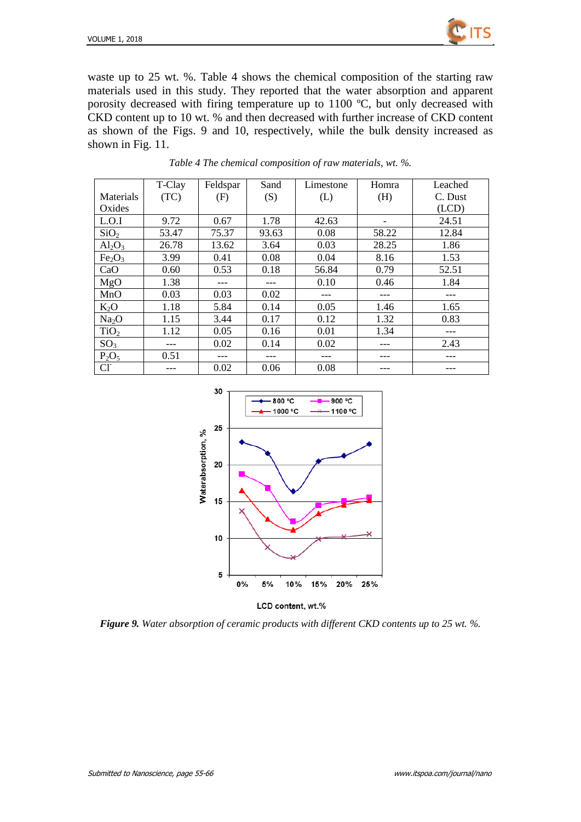

waste up to 25 wt. %. Table 4 shows the chemical composition of the starting raw materials used in this study. They reported that the water absorption and apparent porosity decreased with firing temperature up to  $1100 \text{ C}$ , but only decreased with CKD content up to 10 wt. % and then decreased with further increase of CKD content as shown of the Figs. 9 and 10, respectively, while the bulk density increased as shown in Fig. 11.

|                                | T-Clay | Feldspar | Sand  | Limestone | Homra | Leached |
|--------------------------------|--------|----------|-------|-----------|-------|---------|
| Materials                      | (TC)   | (F)      | (S)   | (L)       | (H)   | C. Dust |
| Oxides                         |        |          |       |           |       | (LCD)   |
| L.O.I                          | 9.72   | 0.67     | 1.78  | 42.63     |       | 24.51   |
| SiO <sub>2</sub>               | 53.47  | 75.37    | 93.63 | 0.08      | 58.22 | 12.84   |
| $Al_2O_3$                      | 26.78  | 13.62    | 3.64  | 0.03      | 28.25 | 1.86    |
| Fe <sub>2</sub> O <sub>3</sub> | 3.99   | 0.41     | 0.08  | 0.04      | 8.16  | 1.53    |
| CaO                            | 0.60   | 0.53     | 0.18  | 56.84     | 0.79  | 52.51   |
| MgO                            | 1.38   | ---      |       | 0.10      | 0.46  | 1.84    |
| MnO                            | 0.03   | 0.03     | 0.02  | ---       | ---   | ---     |
| $K_2O$                         | 1.18   | 5.84     | 0.14  | 0.05      | 1.46  | 1.65    |
| Na <sub>2</sub> O              | 1.15   | 3.44     | 0.17  | 0.12      | 1.32  | 0.83    |
| TiO <sub>2</sub>               | 1.12   | 0.05     | 0.16  | 0.01      | 1.34  | ---     |
| SO <sub>3</sub>                |        | 0.02     | 0.14  | 0.02      |       | 2.43    |
| $P_2O_5$                       | 0.51   | ---      | ---   | ---       |       |         |
| CI                             | ---    | 0.02     | 0.06  | 0.08      |       |         |

*Table 4 The chemical composition of raw materials, wt. %.*



*Figure 9. Water absorption of ceramic products with different CKD contents up to 25 wt. %.*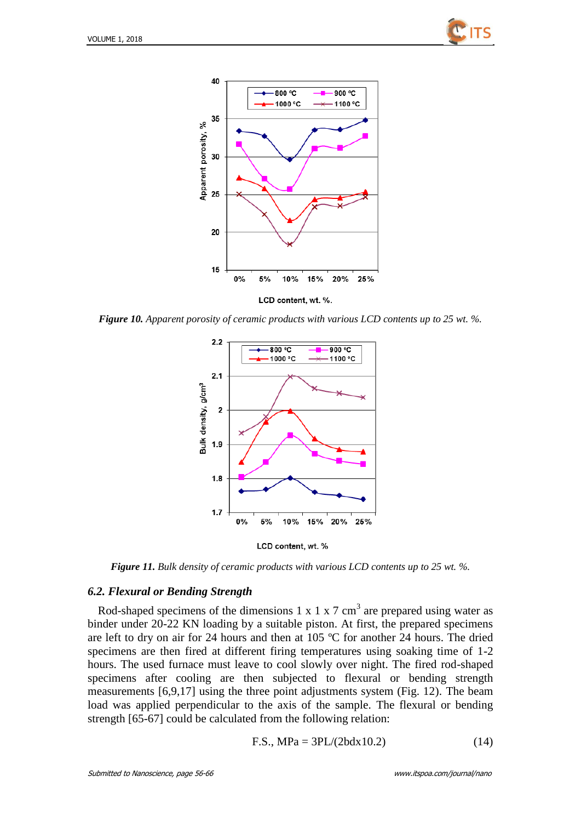



*Figure 10. Apparent porosity of ceramic products with various LCD contents up to 25 wt. %.*





*Figure 11. Bulk density of ceramic products with various LCD contents up to 25 wt. %.*

#### *6.2. Flexural or Bending Strength*

Rod-shaped specimens of the dimensions 1 x 1 x 7 cm<sup>3</sup> are prepared using water as binder under 20-22 KN loading by a suitable piston. At first, the prepared specimens are left to dry on air for 24 hours and then at 105  $\degree$  C for another 24 hours. The dried specimens are then fired at different firing temperatures using soaking time of 1-2 hours. The used furnace must leave to cool slowly over night. The fired rod-shaped specimens after cooling are then subjected to flexural or bending strength measurements [6,9,17] using the three point adjustments system (Fig. 12). The beam load was applied perpendicular to the axis of the sample. The flexural or bending strength [65-67] could be calculated from the following relation:

$$
F.S., MPa = 3PL/(2bdx10.2)
$$
 (14)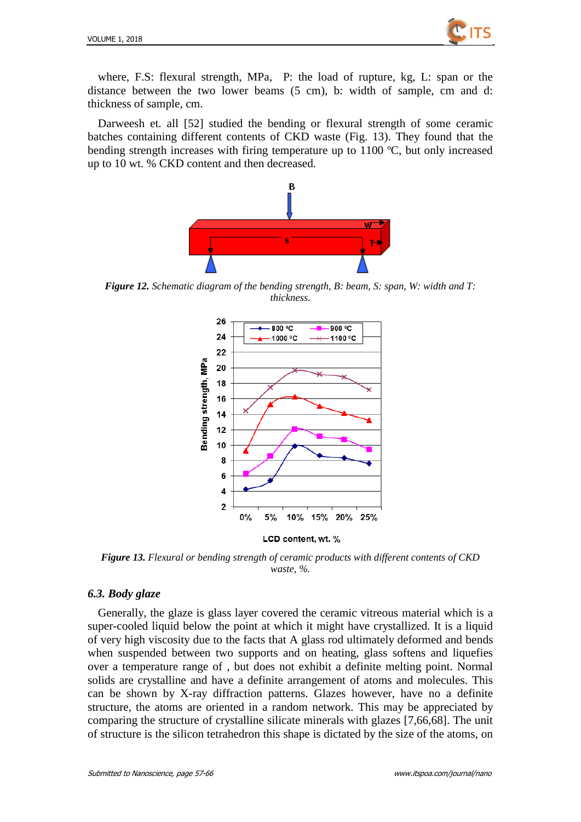

where, F.S: flexural strength, MPa, P: the load of rupture, kg, L: span or the distance between the two lower beams (5 cm), b: width of sample, cm and d: thickness of sample, cm.

Darweesh et. all [52] studied the bending or flexural strength of some ceramic batches containing different contents of CKD waste (Fig. 13). They found that the bending strength increases with firing temperature up to  $1100 \text{ C}$ , but only increased up to 10 wt. % CKD content and then decreased.



*Figure 12. Schematic diagram of the bending strength, B: beam, S: span, W: width and T: thickness.*



*Figure 13. Flexural or bending strength of ceramic products with different contents of CKD waste, %.*

#### *6.3. Body glaze*

Generally, the glaze is glass layer covered the ceramic vitreous material which is a super-cooled liquid below the point at which it might have crystallized. It is a liquid of very high viscosity due to the facts that A glass rod ultimately deformed and bends when suspended between two supports and on heating, glass softens and liquefies over a temperature range of , but does not exhibit a definite melting point. Normal solids are crystalline and have a definite arrangement of atoms and molecules. This can be shown by X-ray diffraction patterns. Glazes however, have no a definite structure, the atoms are oriented in a random network. This may be appreciated by comparing the structure of crystalline silicate minerals with glazes [7,66,68]. The unit of structure is the silicon tetrahedron this shape is dictated by the size of the atoms, on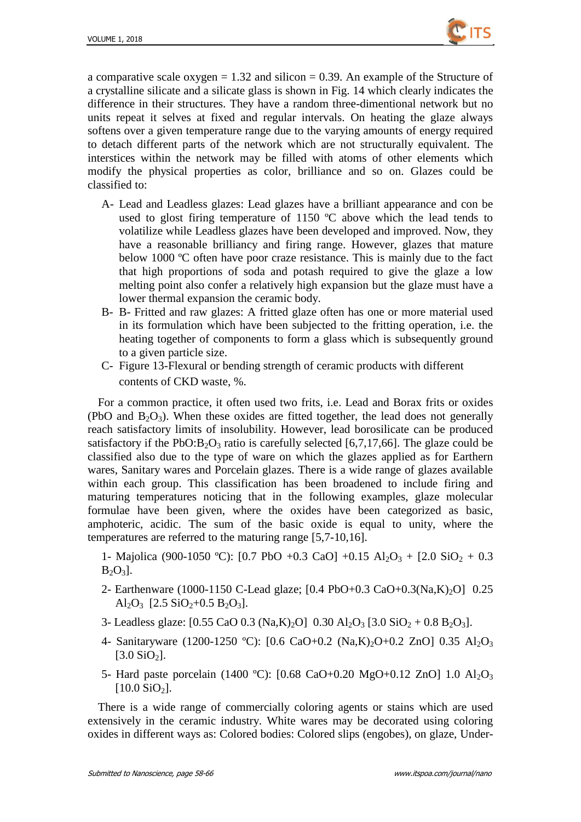

a comparative scale oxygen  $= 1.32$  and silicon  $= 0.39$ . An example of the Structure of a crystalline silicate and a silicate glass is shown in Fig. 14 which clearly indicates the difference in their structures. They have a random three-dimentional network but no units repeat it selves at fixed and regular intervals. On heating the glaze always softens over a given temperature range due to the varying amounts of energy required to detach different parts of the network which are not structurally equivalent. The interstices within the network may be filled with atoms of other elements which modify the physical properties as color, brilliance and so on. Glazes could be classified to:

- A- Lead and Leadless glazes: Lead glazes have a brilliant appearance and con be used to glost firing temperature of 1150  $\mathbb C$  above which the lead tends to volatilize while Leadless glazes have been developed and improved. Now, they have a reasonable brilliancy and firing range. However, glazes that mature below 1000  $\degree$  often have poor craze resistance. This is mainly due to the fact that high proportions of soda and potash required to give the glaze a low melting point also confer a relatively high expansion but the glaze must have a lower thermal expansion the ceramic body.
- B- B- Fritted and raw glazes: A fritted glaze often has one or more material used in its formulation which have been subjected to the fritting operation, i.e. the heating together of components to form a glass which is subsequently ground to a given particle size.
- C- Figure 13-Flexural or bending strength of ceramic products with different contents of CKD waste, %.

For a common practice, it often used two frits, i.e. Lead and Borax frits or oxides (PbO and  $B_2O_3$ ). When these oxides are fitted together, the lead does not generally reach satisfactory limits of insolubility. However, lead borosilicate can be produced satisfactory if the PbO: $B_2O_3$  ratio is carefully selected [6,7,17,66]. The glaze could be classified also due to the type of ware on which the glazes applied as for Earthern wares, Sanitary wares and Porcelain glazes. There is a wide range of glazes available within each group. This classification has been broadened to include firing and maturing temperatures noticing that in the following examples, glaze molecular formulae have been given, where the oxides have been categorized as basic, amphoteric, acidic. The sum of the basic oxide is equal to unity, where the temperatures are referred to the maturing range [5,7-10,16].

1- Majolica (900-1050 °C): [0.7 PbO +0.3 CaO] +0.15 Al<sub>2</sub>O<sub>3</sub> + [2.0 SiO<sub>2</sub> + 0.3  $B_2O_3$ ].

- 2- Earthenware (1000-1150 C-Lead glaze; [0.4 PbO+0.3 CaO+0.3(Na,K)<sub>2</sub>O] 0.25 Al<sub>2</sub>O<sub>3</sub> [2.5 SiO<sub>2</sub>+0.5 B<sub>2</sub>O<sub>3</sub>].
- 3- Leadless glaze:  $[0.55 \text{ CaO} \ 0.3 \text{ (Na,K)}_{2}\text{O}] \ 0.30 \text{ Al}_{2}\text{O}_{3} \ [3.0 \text{ SiO}_{2} + 0.8 \text{ B}_{2}\text{O}_{3}]$ .
- 4- Sanitaryware (1200-1250 °C): [0.6 CaO+0.2 (Na,K)<sub>2</sub>O+0.2 ZnO] 0.35 Al<sub>2</sub>O<sub>3</sub>  $[3.0 SiO<sub>2</sub>]$ .
- 5- Hard paste porcelain (1400 °C): [0.68 CaO+0.20 MgO+0.12 ZnO] 1.0 Al<sub>2</sub>O<sub>3</sub>  $[10.0$  SiO<sub>2</sub>].

There is a wide range of commercially coloring agents or stains which are used extensively in the ceramic industry. White wares may be decorated using coloring oxides in different ways as: Colored bodies: Colored slips (engobes), on glaze, Under-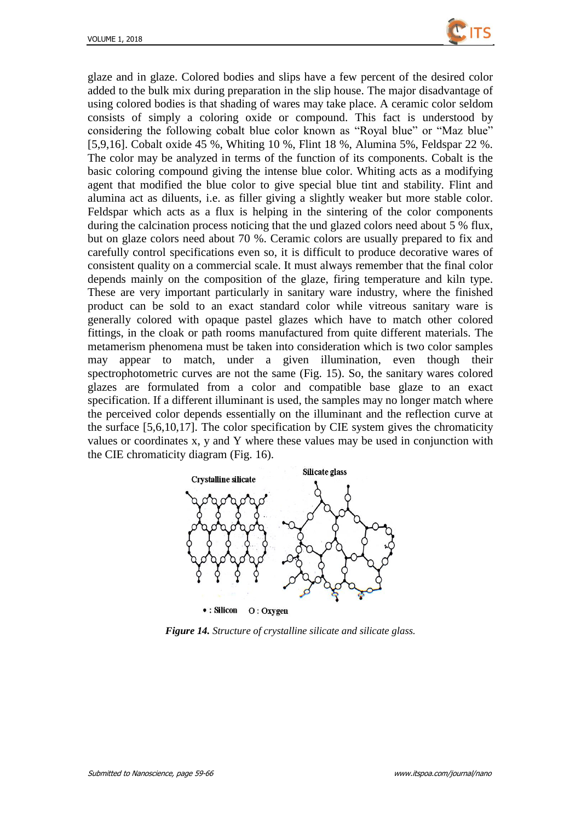

glaze and in glaze. Colored bodies and slips have a few percent of the desired color added to the bulk mix during preparation in the slip house. The major disadvantage of using colored bodies is that shading of wares may take place. A ceramic color seldom consists of simply a coloring oxide or compound. This fact is understood by considering the following cobalt blue color known as "Royal blue" or "Maz blue" [5,9,16]. Cobalt oxide 45 %, Whiting 10 %, Flint 18 %, Alumina 5%, Feldspar 22 %. The color may be analyzed in terms of the function of its components. Cobalt is the basic coloring compound giving the intense blue color. Whiting acts as a modifying agent that modified the blue color to give special blue tint and stability. Flint and alumina act as diluents, i.e. as filler giving a slightly weaker but more stable color. Feldspar which acts as a flux is helping in the sintering of the color components during the calcination process noticing that the und glazed colors need about 5 % flux, but on glaze colors need about 70 %. Ceramic colors are usually prepared to fix and carefully control specifications even so, it is difficult to produce decorative wares of consistent quality on a commercial scale. It must always remember that the final color depends mainly on the composition of the glaze, firing temperature and kiln type. These are very important particularly in sanitary ware industry, where the finished product can be sold to an exact standard color while vitreous sanitary ware is generally colored with opaque pastel glazes which have to match other colored fittings, in the cloak or path rooms manufactured from quite different materials. The metamerism phenomena must be taken into consideration which is two color samples may appear to match, under a given illumination, even though their spectrophotometric curves are not the same (Fig. 15). So, the sanitary wares colored glazes are formulated from a color and compatible base glaze to an exact specification. If a different illuminant is used, the samples may no longer match where the perceived color depends essentially on the illuminant and the reflection curve at the surface [5,6,10,17]. The color specification by CIE system gives the chromaticity values or coordinates x, y and Y where these values may be used in conjunction with the CIE chromaticity diagram (Fig. 16).



*Figure 14. Structure of crystalline silicate and silicate glass.*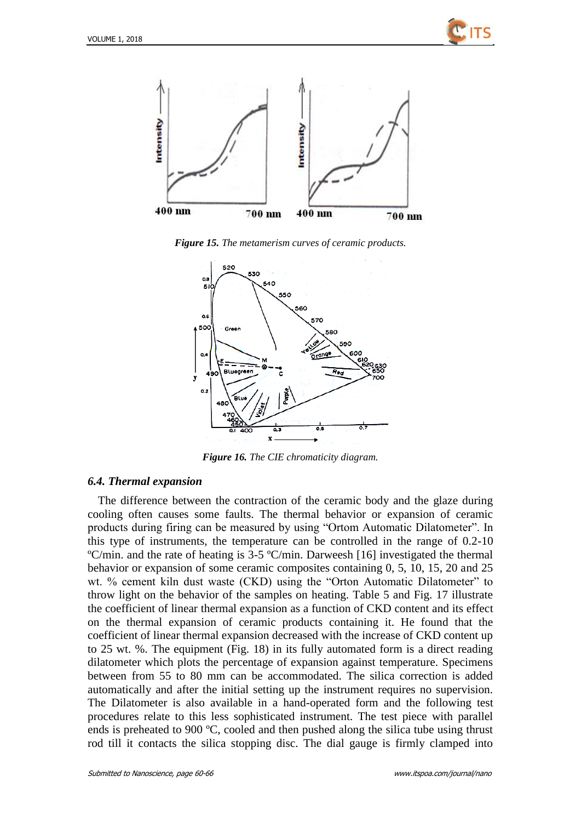



*Figure 15. The metamerism curves of ceramic products.*



*Figure 16. The CIE chromaticity diagram.*

#### *6.4. Thermal expansion*

The difference between the contraction of the ceramic body and the glaze during cooling often causes some faults. The thermal behavior or expansion of ceramic products during firing can be measured by using "Ortom Automatic Dilatometer". In this type of instruments, the temperature can be controlled in the range of 0.2-10  $\mathbb{C}/\text{min}$  and the rate of heating is 3-5  $\mathbb{C}/\text{min}$ . Darweesh [16] investigated the thermal behavior or expansion of some ceramic composites containing 0, 5, 10, 15, 20 and 25 wt. % cement kiln dust waste (CKD) using the "Orton Automatic Dilatometer" to throw light on the behavior of the samples on heating. Table 5 and Fig. 17 illustrate the coefficient of linear thermal expansion as a function of CKD content and its effect on the thermal expansion of ceramic products containing it. He found that the coefficient of linear thermal expansion decreased with the increase of CKD content up to 25 wt. %. The equipment (Fig. 18) in its fully automated form is a direct reading dilatometer which plots the percentage of expansion against temperature. Specimens between from 55 to 80 mm can be accommodated. The silica correction is added automatically and after the initial setting up the instrument requires no supervision. The Dilatometer is also available in a hand-operated form and the following test procedures relate to this less sophisticated instrument. The test piece with parallel ends is preheated to 900  $\mathbb{C}$ , cooled and then pushed along the silica tube using thrust rod till it contacts the silica stopping disc. The dial gauge is firmly clamped into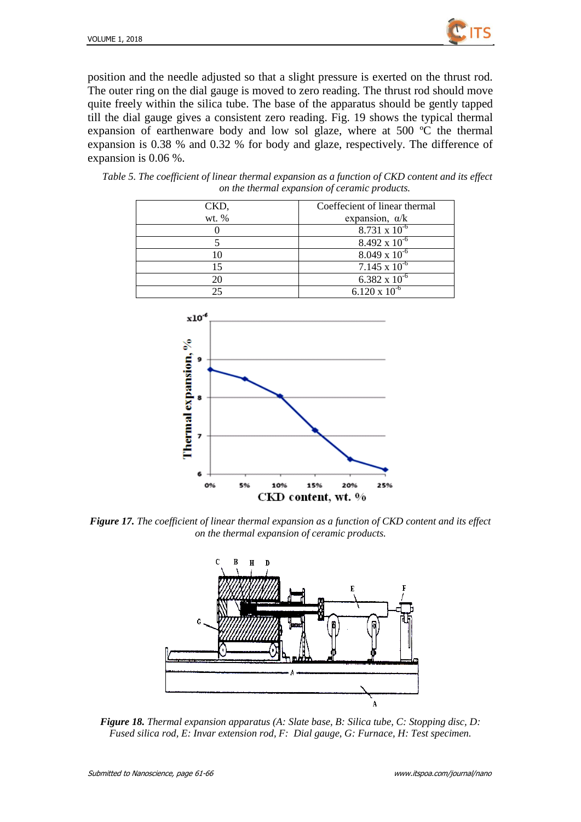

position and the needle adjusted so that a slight pressure is exerted on the thrust rod. The outer ring on the dial gauge is moved to zero reading. The thrust rod should move quite freely within the silica tube. The base of the apparatus should be gently tapped till the dial gauge gives a consistent zero reading. Fig. 19 shows the typical thermal expansion of earthenware body and low sol glaze, where at 500  $\degree$  the thermal expansion is 0.38 % and 0.32 % for body and glaze, respectively. The difference of expansion is 0.06 %.

| Table 5. The coefficient of linear thermal expansion as a function of CKD content and its effect |  |                                               |  |  |  |
|--------------------------------------------------------------------------------------------------|--|-----------------------------------------------|--|--|--|
|                                                                                                  |  | on the thermal expansion of ceramic products. |  |  |  |

| CKD,  | Coeffecient of linear thermal |
|-------|-------------------------------|
| wt. % | expansion, $\alpha/k$         |
|       | $8.731 \times 10^{-6}$        |
|       | $8.492 \times 10^{-6}$        |
|       | $8.049 \times 10^{-6}$        |
|       | $7.145 \times 10^{-6}$        |
| 20    | 6.382 x $10^{-6}$             |
|       | $6.120 \times 10^{-6}$        |



*Figure 17. The coefficient of linear thermal expansion as a function of CKD content and its effect on the thermal expansion of ceramic products.*



*Figure 18. Thermal expansion apparatus (A: Slate base, B: Silica tube, C: Stopping disc, D: Fused silica rod, E: Invar extension rod, F: Dial gauge, G: Furnace, H: Test specimen.*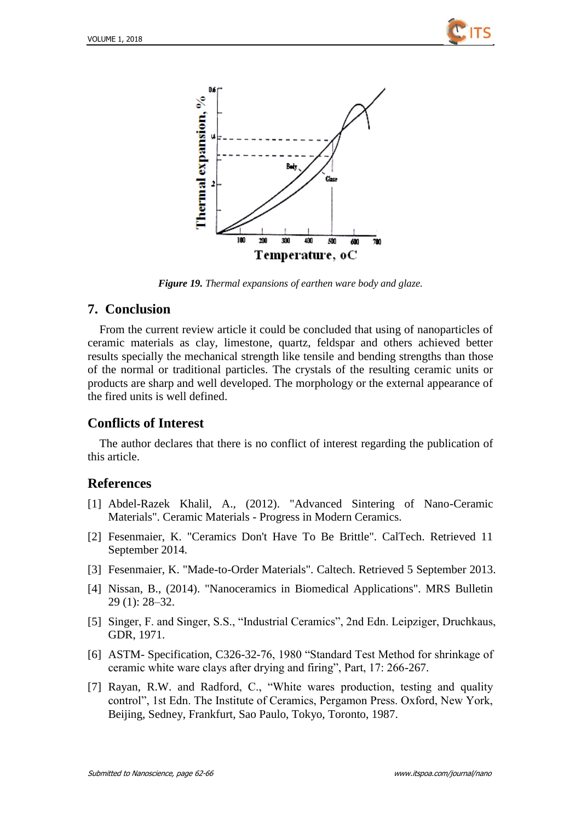



*Figure 19. Thermal expansions of earthen ware body and glaze.*

### **7. Conclusion**

From the current review article it could be concluded that using of nanoparticles of ceramic materials as clay, limestone, quartz, feldspar and others achieved better results specially the mechanical strength like tensile and bending strengths than those of the normal or traditional particles. The crystals of the resulting ceramic units or products are sharp and well developed. The morphology or the external appearance of the fired units is well defined.

## **Conflicts of Interest**

The author declares that there is no conflict of interest regarding the publication of this article.

### **References**

- [1] Abdel-Razek Khalil, A., (2012). "Advanced Sintering of Nano-Ceramic Materials". Ceramic Materials - Progress in Modern Ceramics.
- [2] Fesenmaier, K. "Ceramics Don't Have To Be Brittle". CalTech. Retrieved 11 September 2014.
- [3] Fesenmaier, K. "Made-to-Order Materials". Caltech. Retrieved 5 September 2013.
- [4] Nissan, B., (2014). "Nanoceramics in Biomedical Applications". MRS Bulletin 29 (1): 28–32.
- [5] Singer, F. and Singer, S.S., "Industrial Ceramics", 2nd Edn. Leipziger, Druchkaus, GDR, 1971.
- [6] ASTM- Specification, C326-32-76, 1980 "Standard Test Method for shrinkage of ceramic white ware clays after drying and firing", Part, 17: 266-267.
- [7] Rayan, R.W. and Radford, C., "White wares production, testing and quality control", 1st Edn. The Institute of Ceramics, Pergamon Press. Oxford, New York, Beijing, Sedney, Frankfurt, Sao Paulo, Tokyo, Toronto, 1987.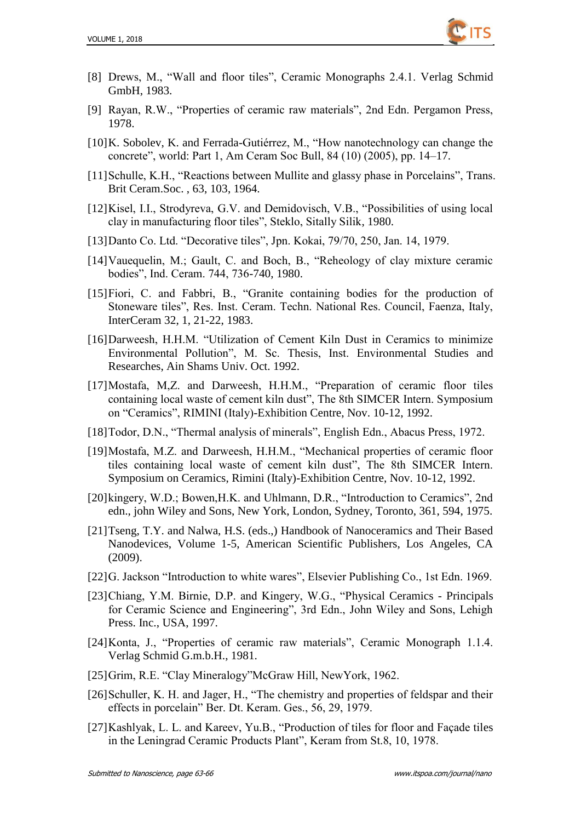

- [8] Drews, M., "Wall and floor tiles", Ceramic Monographs 2.4.1. Verlag Schmid GmbH, 1983.
- [9] Rayan, R.W., "Properties of ceramic raw materials", 2nd Edn. Pergamon Press, 1978.
- [10]K. Sobolev, K. and Ferrada-Gutiérrez, M., "How nanotechnology can change the concrete", world: Part 1, Am Ceram Soc Bull, 84 (10) (2005), pp. 14–17.
- [11]Schulle, K.H., "Reactions between Mullite and glassy phase in Porcelains", Trans. Brit Ceram.Soc. , 63, 103, 1964.
- [12]Kisel, I.I., Strodyreva, G.V. and Demidovisch, V.B., "Possibilities of using local clay in manufacturing floor tiles", Steklo, Sitally Silik, 1980.
- [13]Danto Co. Ltd. "Decorative tiles", Jpn. Kokai, 79/70, 250, Jan. 14, 1979.
- [14]Vauequelin, M.; Gault, C. and Boch, B., "Reheology of clay mixture ceramic bodies", Ind. Ceram. 744, 736-740, 1980.
- [15]Fiori, C. and Fabbri, B., "Granite containing bodies for the production of Stoneware tiles", Res. Inst. Ceram. Techn. National Res. Council, Faenza, Italy, InterCeram 32, 1, 21-22, 1983.
- [16]Darweesh, H.H.M. "Utilization of Cement Kiln Dust in Ceramics to minimize Environmental Pollution", M. Sc. Thesis, Inst. Environmental Studies and Researches, Ain Shams Univ. Oct. 1992.
- [17]Mostafa, M,Z. and Darweesh, H.H.M., "Preparation of ceramic floor tiles containing local waste of cement kiln dust", The 8th SIMCER Intern. Symposium on "Ceramics", RIMINI (Italy)-Exhibition Centre, Nov. 10-12, 1992.
- [18]Todor, D.N., "Thermal analysis of minerals", English Edn., Abacus Press, 1972.
- [19]Mostafa, M.Z. and Darweesh, H.H.M., "Mechanical properties of ceramic floor tiles containing local waste of cement kiln dust", The 8th SIMCER Intern. Symposium on Ceramics, Rimini (Italy)-Exhibition Centre, Nov. 10-12, 1992.
- [20]kingery, W.D.; Bowen, H.K. and Uhlmann, D.R., "Introduction to Ceramics", 2nd edn., john Wiley and Sons, New York, London, Sydney, Toronto, 361, 594, 1975.
- [21]Tseng, T.Y. and Nalwa, H.S. (eds.,) Handbook of Nanoceramics and Their Based Nanodevices, Volume 1-5, American Scientific Publishers, Los Angeles, CA (2009).
- [22]G. Jackson "Introduction to white wares", Elsevier Publishing Co., 1st Edn. 1969.
- [23]Chiang, Y.M. Birnie, D.P. and Kingery, W.G., "Physical Ceramics Principals for Ceramic Science and Engineering", 3rd Edn., John Wiley and Sons, Lehigh Press. Inc., USA, 1997.
- [24]Konta, J., "Properties of ceramic raw materials", Ceramic Monograph 1.1.4. Verlag Schmid G.m.b.H., 1981.
- [25]Grim, R.E. "Clay Mineralogy"McGraw Hill, NewYork, 1962.
- [26]Schuller, K. H. and Jager, H., "The chemistry and properties of feldspar and their effects in porcelain" Ber. Dt. Keram. Ges., 56, 29, 1979.
- [27]Kashlyak, L. L. and Kareev, Yu.B., "Production of tiles for floor and Façade tiles in the Leningrad Ceramic Products Plant", Keram from St.8, 10, 1978.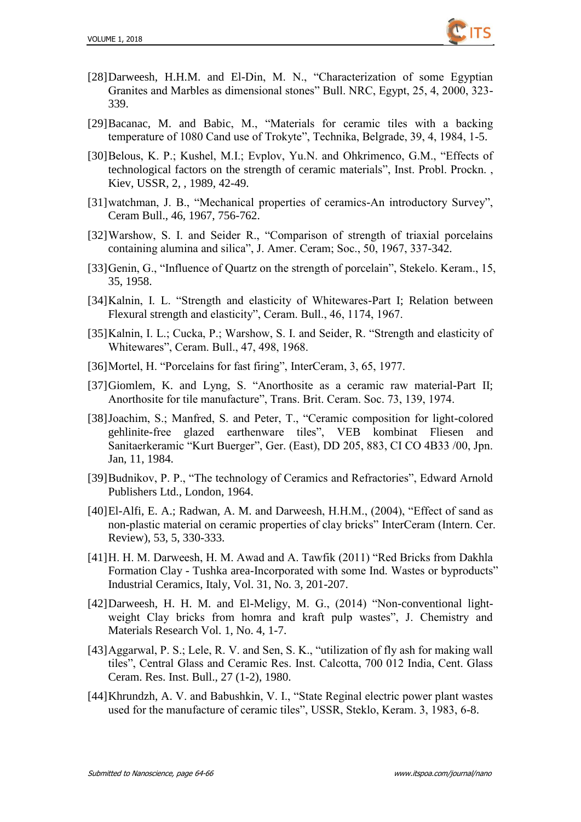

- [28]Darweesh, H.H.M. and El-Din, M. N., "Characterization of some Egyptian Granites and Marbles as dimensional stones" Bull. NRC, Egypt, 25, 4, 2000, 323- 339.
- [29]Bacanac, M. and Babic, M., "Materials for ceramic tiles with a backing temperature of 1080 Cand use of Trokyte", Technika, Belgrade, 39, 4, 1984, 1-5.
- [30]Belous, K. P.; Kushel, M.I.; Evplov, Yu.N. and Ohkrimenco, G.M., "Effects of technological factors on the strength of ceramic materials", Inst. Probl. Prockn. , Kiev, USSR, 2, , 1989, 42-49.
- [31]watchman, J. B., "Mechanical properties of ceramics-An introductory Survey", Ceram Bull., 46, 1967, 756-762.
- [32]Warshow, S. I. and Seider R., "Comparison of strength of triaxial porcelains containing alumina and silica", J. Amer. Ceram; Soc., 50, 1967, 337-342.
- [33]Genin, G., "Influence of Quartz on the strength of porcelain", Stekelo. Keram., 15, 35, 1958.
- [34]Kalnin, I. L. "Strength and elasticity of Whitewares-Part I; Relation between Flexural strength and elasticity", Ceram. Bull., 46, 1174, 1967.
- [35]Kalnin, I. L.; Cucka, P.; Warshow, S. I. and Seider, R. "Strength and elasticity of Whitewares", Ceram. Bull., 47, 498, 1968.
- [36]Mortel, H. "Porcelains for fast firing", InterCeram, 3, 65, 1977.
- [37]Giomlem, K. and Lyng, S. "Anorthosite as a ceramic raw material-Part II; Anorthosite for tile manufacture", Trans. Brit. Ceram. Soc. 73, 139, 1974.
- [38]Joachim, S.; Manfred, S. and Peter, T., "Ceramic composition for light-colored gehlinite-free glazed earthenware tiles", VEB kombinat Fliesen and Sanitaerkeramic "Kurt Buerger", Ger. (East), DD 205, 883, CI CO 4B33 /00, Jpn. Jan, 11, 1984.
- [39]Budnikov, P. P., "The technology of Ceramics and Refractories", Edward Arnold Publishers Ltd., London, 1964.
- [40]El-Alfi, E. A.; Radwan, A. M. and Darweesh, H.H.M., (2004), "Effect of sand as non-plastic material on ceramic properties of clay bricks" InterCeram (Intern. Cer. Review), 53, 5, 330-333.
- [41]H. H. M. Darweesh, H. M. Awad and A. Tawfik (2011) "Red Bricks from Dakhla Formation Clay - Tushka area-Incorporated with some Ind. Wastes or byproducts" Industrial Ceramics, Italy, Vol. 31, No. 3, 201-207.
- [42]Darweesh, H. H. M. and El-Meligy, M. G., (2014) "Non-conventional lightweight Clay bricks from homra and kraft pulp wastes", J. Chemistry and Materials Research Vol. 1, No. 4, 1-7.
- [43]Aggarwal, P. S.; Lele, R. V. and Sen, S. K., "utilization of fly ash for making wall tiles", Central Glass and Ceramic Res. Inst. Calcotta, 700 012 India, Cent. Glass Ceram. Res. Inst. Bull., 27 (1-2), 1980.
- [44]Khrundzh, A. V. and Babushkin, V. I., "State Reginal electric power plant wastes used for the manufacture of ceramic tiles", USSR, Steklo, Keram. 3, 1983, 6-8.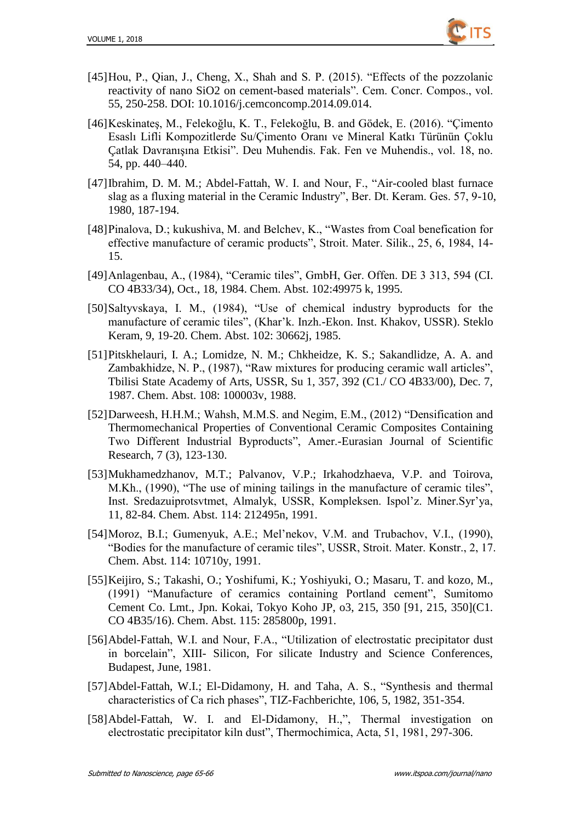

- [45]Hou, P., Qian, J., Cheng, X., Shah and S. P. (2015). "Effects of the pozzolanic reactivity of nano SiO2 on cement-based materials". Cem. Concr. Compos., vol. 55, 250-258. DOI: 10.1016/j.cemconcomp.2014.09.014.
- [46]Keskinateş, M., Felekoğlu, K. T., Felekoğlu, B. and Gödek, E. (2016). "Çimento Esaslı Lifli Kompozitlerde Su/Çimento Oranı ve Mineral Katkı Türünün Çoklu Çatlak Davranışına Etkisi". Deu Muhendis. Fak. Fen ve Muhendis., vol. 18, no. 54, pp. 440–440.
- [47]Ibrahim, D. M. M.; Abdel-Fattah, W. I. and Nour, F., "Air-cooled blast furnace slag as a fluxing material in the Ceramic Industry", Ber. Dt. Keram. Ges. 57, 9-10, 1980, 187-194.
- [48]Pinalova, D.; kukushiva, M. and Belchev, K., "Wastes from Coal benefication for effective manufacture of ceramic products", Stroit. Mater. Silik., 25, 6, 1984, 14- 15.
- [49]Anlagenbau, A., (1984), "Ceramic tiles", GmbH, Ger. Offen. DE 3 313, 594 (CI. CO 4B33/34), Oct., 18, 1984. Chem. Abst. 102:49975 k, 1995.
- [50]Saltyvskaya, I. M., (1984), "Use of chemical industry byproducts for the manufacture of ceramic tiles", (Khar'k. Inzh.-Ekon. Inst. Khakov, USSR). Steklo Keram, 9, 19-20. Chem. Abst. 102: 30662j, 1985.
- [51]Pitskhelauri, I. A.; Lomidze, N. M.; Chkheidze, K. S.; Sakandlidze, A. A. and Zambakhidze, N. P., (1987), "Raw mixtures for producing ceramic wall articles", Tbilisi State Academy of Arts, USSR, Su 1, 357, 392 (C1./ CO 4B33/00), Dec. 7, 1987. Chem. Abst. 108: 100003v, 1988.
- [52]Darweesh, H.H.M.; Wahsh, M.M.S. and Negim, E.M., (2012) "Densification and Thermomechanical Properties of Conventional Ceramic Composites Containing Two Different Industrial Byproducts", Amer.-Eurasian Journal of Scientific Research, 7 (3), 123-130.
- [53]Mukhamedzhanov, M.T.; Palvanov, V.P.; Irkahodzhaeva, V.P. and Toirova, M.Kh., (1990), "The use of mining tailings in the manufacture of ceramic tiles", Inst. Sredazuiprotsvtmet, Almalyk, USSR, Kompleksen. Ispol'z. Miner.Syr'ya, 11, 82-84. Chem. Abst. 114: 212495n, 1991.
- [54]Moroz, B.I.; Gumenyuk, A.E.; Mel'nekov, V.M. and Trubachov, V.I., (1990), "Bodies for the manufacture of ceramic tiles", USSR, Stroit. Mater. Konstr., 2, 17. Chem. Abst. 114: 10710y, 1991.
- [55]Keijiro, S.; Takashi, O.; Yoshifumi, K.; Yoshiyuki, O.; Masaru, T. and kozo, M., (1991) "Manufacture of ceramics containing Portland cement", Sumitomo Cement Co. Lmt., Jpn. Kokai, Tokyo Koho JP, o3, 215, 350 [91, 215, 350](C1. CO 4B35/16). Chem. Abst. 115: 285800p, 1991.
- [56]Abdel-Fattah, W.I. and Nour, F.A., "Utilization of electrostatic precipitator dust in borcelain", XIII- Silicon, For silicate Industry and Science Conferences, Budapest, June, 1981.
- [57]Abdel-Fattah, W.I.; El-Didamony, H. and Taha, A. S., "Synthesis and thermal characteristics of Ca rich phases", TIZ-Fachberichte, 106, 5, 1982, 351-354.
- [58]Abdel-Fattah, W. I. and El-Didamony, H.,", Thermal investigation on electrostatic precipitator kiln dust", Thermochimica, Acta, 51, 1981, 297-306.